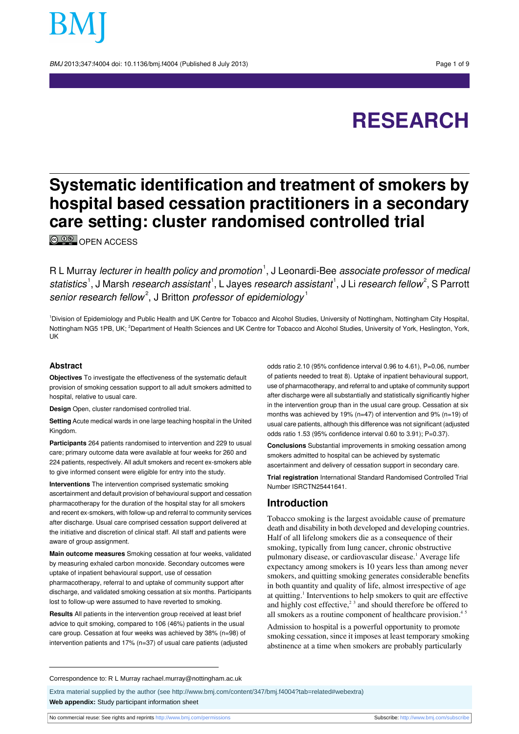BMJ 2013;347:f4004 doi: 10.1136/bmj.f4004 (Published 8 July 2013) Page 1 of 9

# **RESEARCH**

# **Systematic identification and treatment of smokers by hospital based cessation practitioners in a secondary care setting: cluster randomised controlled trial**

<sup>©</sup> <sup>O</sup>
© OPEN [ACCESS](http://creativecommons.org/licenses/by-nc/3.0/)

R L Murray *lecturer in health policy and promotion*  $^1,$  J Leonardi-Bee *associate professor of medical* statistics<sup>1</sup>, J Marsh *research assistant*<sup>1</sup>, L Jayes *research assistant*<sup>1</sup>, J Li *research fellow<sup>2</sup>,* S Parrott senior research fellow<sup>2</sup>, J Britton professor of epidemiology<sup>1</sup>

<sup>1</sup>Division of Epidemiology and Public Health and UK Centre for Tobacco and Alcohol Studies, University of Nottingham, Nottingham City Hospital, Nottingham NG5 1PB, UK; <sup>2</sup>Department of Health Sciences and UK Centre for Tobacco and Alcohol Studies, University of York, Heslington, York, UK

#### **Abstract**

**Objectives** To investigate the effectiveness of the systematic default provision of smoking cessation support to all adult smokers admitted to hospital, relative to usual care.

**Design** Open, cluster randomised controlled trial.

**Setting** Acute medical wards in one large teaching hospital in the United Kingdom.

**Participants** 264 patients randomised to intervention and 229 to usual care; primary outcome data were available at four weeks for 260 and 224 patients, respectively. All adult smokers and recent ex-smokers able to give informed consent were eligible for entry into the study.

**Interventions** The intervention comprised systematic smoking ascertainment and default provision of behavioural support and cessation pharmacotherapy for the duration of the hospital stay for all smokers and recent ex-smokers, with follow-up and referral to community services after discharge. Usual care comprised cessation support delivered at the initiative and discretion of clinical staff. All staff and patients were aware of group assignment.

**Main outcome measures** Smoking cessation at four weeks, validated by measuring exhaled carbon monoxide. Secondary outcomes were uptake of inpatient behavioural support, use of cessation pharmacotherapy, referral to and uptake of community support after discharge, and validated smoking cessation at six months. Participants lost to follow-up were assumed to have reverted to smoking.

**Results** All patients in the intervention group received at least brief advice to quit smoking, compared to 106 (46%) patients in the usual care group. Cessation at four weeks was achieved by 38% (n=98) of intervention patients and 17% (n=37) of usual care patients (adjusted

odds ratio 2.10 (95% confidence interval 0.96 to 4.61), P=0.06, number of patients needed to treat 8). Uptake of inpatient behavioural support, use of pharmacotherapy, and referral to and uptake of community support after discharge were all substantially and statistically significantly higher in the intervention group than in the usual care group. Cessation at six months was achieved by 19% (n=47) of intervention and 9% (n=19) of usual care patients, although this difference was not significant (adjusted odds ratio 1.53 (95% confidence interval 0.60 to 3.91); P=0.37).

**Conclusions** Substantial improvements in smoking cessation among smokers admitted to hospital can be achieved by systematic ascertainment and delivery of cessation support in secondary care.

**Trial registration** International Standard Randomised Controlled Trial Number ISRCTN25441641.

#### **Introduction**

Tobacco smoking is the largest avoidable cause of premature death and disability in both developed and developing countries. Half of all lifelong smokers die as a consequence of their smoking, typically from lung cancer, chronic obstructive pulmonary disease, or cardiovascular disease.<sup>1</sup> Average life expectancy among smokers is 10 years less than among never smokers, and quitting smoking generates considerable benefits in both quantity and quality of life, almost irrespective of age at quitting.<sup>1</sup> Interventions to help smokers to quit are effective and highly cost effective, $2<sup>3</sup>$  and should therefore be offered to all smokers as a routine component of healthcare provision.<sup>4</sup>

Admission to hospital is a powerful opportunity to promote smoking cessation, since it imposes at least temporary smoking abstinence at a time when smokers are probably particularly

Correspondence to: R L Murray rachael.murray@nottingham.ac.uk

Extra material supplied by the author (see [http://www.bmj.com/content/347/bmj.f4004?tab=related#webextra\)](http://www.bmj.com/content/347/bmj.f4004?tab=related#webextra) **Web appendix:** Study participant information sheet

No commercial reuse: See rights and reprints <http://www.bmj.com/permissions> Subscribe: <http://www.bmj.com/subscribe>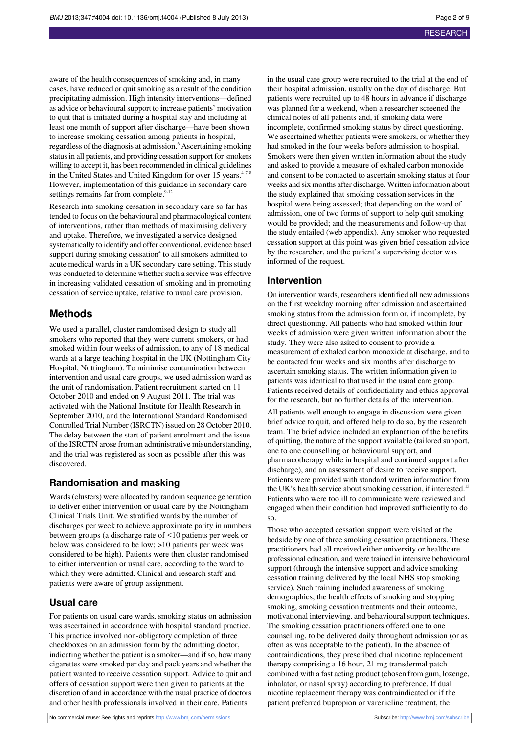aware of the health consequences of smoking and, in many cases, have reduced or quit smoking as a result of the condition precipitating admission. High intensity interventions—defined as advice or behavioural support to increase patients' motivation to quit that is initiated during a hospital stay and including at least one month of support after discharge—have been shown to increase smoking cessation among patients in hospital, regardless of the diagnosis at admission.<sup>6</sup> Ascertaining smoking status in all patients, and providing cessation support for smokers willing to accept it, has been recommended in clinical guidelines in the United States and United Kingdom for over 15 years.<sup>478</sup> However, implementation of this guidance in secondary care settings remains far from complete.<sup>9-12</sup>

Research into smoking cessation in secondary care so far has tended to focus on the behavioural and pharmacological content of interventions, rather than methods of maximising delivery and uptake. Therefore, we investigated a service designed systematically to identify and offer conventional, evidence based support during smoking cessation<sup>4</sup> to all smokers admitted to acute medical wards in a UK secondary care setting. This study was conducted to determine whether such a service was effective in increasing validated cessation of smoking and in promoting cessation of service uptake, relative to usual care provision.

## **Methods**

We used a parallel, cluster randomised design to study all smokers who reported that they were current smokers, or had smoked within four weeks of admission, to any of 18 medical wards at a large teaching hospital in the UK (Nottingham City Hospital, Nottingham). To minimise contamination between intervention and usual care groups, we used admission ward as the unit of randomisation. Patient recruitment started on 11 October 2010 and ended on 9 August 2011. The trial was activated with the National Institute for Health Research in September 2010, and the International Standard Randomised Controlled Trial Number (ISRCTN) issued on 28 October 2010. The delay between the start of patient enrolment and the issue of the ISRCTN arose from an administrative misunderstanding, and the trial was registered as soon as possible after this was discovered.

#### **Randomisation and masking**

Wards(clusters) were allocated by random sequence generation to deliver either intervention or usual care by the Nottingham Clinical Trials Unit. We stratified wards by the number of discharges per week to achieve approximate parity in numbers between groups (a discharge rate of  $\leq 10$  patients per week or below was considered to be low; >10 patients per week was considered to be high). Patients were then cluster randomised to either intervention or usual care, according to the ward to which they were admitted. Clinical and research staff and patients were aware of group assignment.

#### **Usual care**

For patients on usual care wards, smoking status on admission was ascertained in accordance with hospital standard practice. This practice involved non-obligatory completion of three checkboxes on an admission form by the admitting doctor, indicating whether the patient is a smoker—and if so, how many cigarettes were smoked per day and pack years and whether the patient wanted to receive cessation support. Advice to quit and offers of cessation support were then given to patients at the discretion of and in accordance with the usual practice of doctors and other health professionals involved in their care. Patients

in the usual care group were recruited to the trial at the end of their hospital admission, usually on the day of discharge. But patients were recruited up to 48 hours in advance if discharge was planned for a weekend, when a researcher screened the clinical notes of all patients and, if smoking data were incomplete, confirmed smoking status by direct questioning. We ascertained whether patients were smokers, or whether they had smoked in the four weeks before admission to hospital. Smokers were then given written information about the study and asked to provide a measure of exhaled carbon monoxide and consent to be contacted to ascertain smoking status at four weeks and six months after discharge. Written information about the study explained that smoking cessation services in the hospital were being assessed; that depending on the ward of admission, one of two forms of support to help quit smoking would be provided; and the measurements and follow-up that the study entailed (web appendix). Any smoker who requested cessation support at this point was given brief cessation advice by the researcher, and the patient's supervising doctor was informed of the request.

#### **Intervention**

On intervention wards, researchersidentified all new admissions on the first weekday morning after admission and ascertained smoking status from the admission form or, if incomplete, by direct questioning. All patients who had smoked within four weeks of admission were given written information about the study. They were also asked to consent to provide a measurement of exhaled carbon monoxide at discharge, and to be contacted four weeks and six months after discharge to ascertain smoking status. The written information given to patients was identical to that used in the usual care group. Patients received details of confidentiality and ethics approval for the research, but no further details of the intervention.

All patients well enough to engage in discussion were given brief advice to quit, and offered help to do so, by the research team. The brief advice included an explanation of the benefits of quitting, the nature of the support available (tailored support, one to one counselling or behavioural support, and pharmacotherapy while in hospital and continued support after discharge), and an assessment of desire to receive support. Patients were provided with standard written information from the UK's health service about smoking cessation, if interested.<sup>13</sup> Patients who were too ill to communicate were reviewed and engaged when their condition had improved sufficiently to do so.

Those who accepted cessation support were visited at the bedside by one of three smoking cessation practitioners. These practitioners had all received either university or healthcare professional education, and were trained in intensive behavioural support (through the intensive support and advice smoking cessation training delivered by the local NHS stop smoking service). Such training included awareness of smoking demographics, the health effects of smoking and stopping smoking, smoking cessation treatments and their outcome, motivational interviewing, and behavioural support techniques. The smoking cessation practitioners offered one to one counselling, to be delivered daily throughout admission (or as often as was acceptable to the patient). In the absence of contraindications, they prescribed dual nicotine replacement therapy comprising a 16 hour, 21 mg transdermal patch combined with a fast acting product (chosen from gum, lozenge, inhalator, or nasal spray) according to preference. If dual nicotine replacement therapy was contraindicated or if the patient preferred bupropion or varenicline treatment, the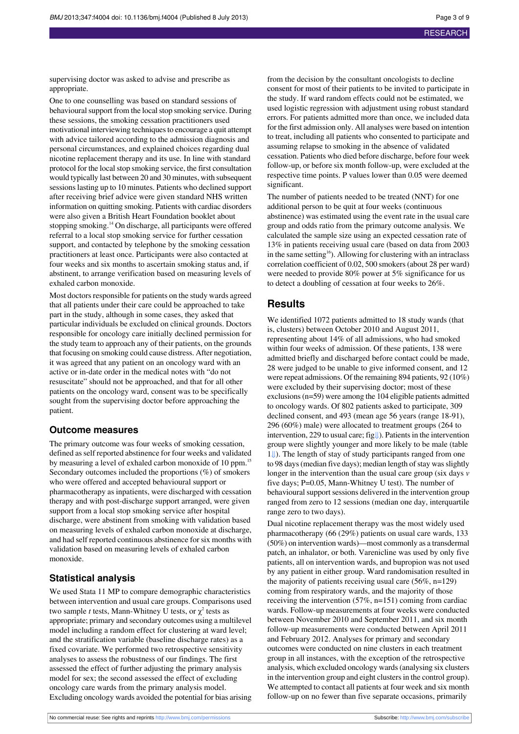supervising doctor was asked to advise and prescribe as appropriate.

One to one counselling was based on standard sessions of behavioural support from the local stop smoking service. During these sessions, the smoking cessation practitioners used motivational interviewing techniques to encourage a quit attempt with advice tailored according to the admission diagnosis and personal circumstances, and explained choices regarding dual nicotine replacement therapy and its use. In line with standard protocol for the local stop smoking service, the first consultation would typically last between 20 and 30 minutes, with subsequent sessions lasting up to 10 minutes. Patients who declined support after receiving brief advice were given standard NHS written information on quitting smoking. Patients with cardiac disorders were also given a British Heart Foundation booklet about stopping smoking.<sup>14</sup> On discharge, all participants were offered referral to a local stop smoking service for further cessation support, and contacted by telephone by the smoking cessation practitioners at least once. Participants were also contacted at four weeks and six months to ascertain smoking status and, if abstinent, to arrange verification based on measuring levels of exhaled carbon monoxide.

Most doctors responsible for patients on the study wards agreed that all patients under their care could be approached to take part in the study, although in some cases, they asked that particular individuals be excluded on clinical grounds. Doctors responsible for oncology care initially declined permission for the study team to approach any of their patients, on the grounds that focusing on smoking could cause distress. After negotiation, it was agreed that any patient on an oncology ward with an active or in-date order in the medical notes with "do not resuscitate" should not be approached, and that for all other patients on the oncology ward, consent was to be specifically sought from the supervising doctor before approaching the patient.

#### **Outcome measures**

The primary outcome was four weeks of smoking cessation, defined asself reported abstinence for four weeks and validated by measuring a level of exhaled carbon monoxide of 10 ppm.<sup>15</sup> Secondary outcomes included the proportions (%) of smokers who were offered and accepted behavioural support or pharmacotherapy as inpatients, were discharged with cessation therapy and with post-discharge support arranged, were given support from a local stop smoking service after hospital discharge, were abstinent from smoking with validation based on measuring levels of exhaled carbon monoxide at discharge, and had self reported continuous abstinence forsix months with validation based on measuring levels of exhaled carbon monoxide.

#### **Statistical analysis**

We used Stata 11 MP to compare demographic characteristics between intervention and usual care groups. Comparisons used two sample *t* tests, Mann-Whitney U tests, or  $\chi^2$  tests as appropriate; primary and secondary outcomes using a multilevel model including a random effect for clustering at ward level; and the stratification variable (baseline discharge rates) as a fixed covariate. We performed two retrospective sensitivity analyses to assess the robustness of our findings. The first assessed the effect of further adjusting the primary analysis model for sex; the second assessed the effect of excluding oncology care wards from the primary analysis model. Excluding oncology wards avoided the potential for bias arising

from the decision by the consultant oncologists to decline consent for most of their patients to be invited to participate in the study. If ward random effects could not be estimated, we used logistic regression with adjustment using robust standard errors. For patients admitted more than once, we included data for the first admission only. All analyses were based on intention to treat, including all patients who consented to participate and assuming relapse to smoking in the absence of validated cessation. Patients who died before discharge, before four week follow-up, or before six month follow-up, were excluded at the respective time points. P values lower than 0.05 were deemed significant.

The number of patients needed to be treated (NNT) for one additional person to be quit at four weeks (continuous abstinence) was estimated using the event rate in the usual care group and odds ratio from the primary outcome analysis. We calculated the sample size using an expected cessation rate of 13% in patients receiving usual care (based on data from 2003 in the same setting<sup>16</sup>). Allowing for clustering with an intraclass correlation coefficient of 0.02, 500 smokers(about 28 per ward) were needed to provide 80% power at 5% significance for us to detect a doubling of cessation at four weeks to 26%.

### **Results**

We identified 1072 patients admitted to 18 study wards (that is, clusters) between October 2010 and August 2011, representing about 14% of all admissions, who had smoked within four weeks of admission. Of these patients, 138 were admitted briefly and discharged before contact could be made, 28 were judged to be unable to give informed consent, and 12 were repeat admissions. Of the remaining 894 patients, 92 (10%) were excluded by their supervising doctor; most of these exclusions(n=59) were among the 104 eligible patients admitted to oncology wards. Of 802 patients asked to participate, 309 declined consent, and 493 (mean age 56 years (range 18-91), 296 (60%) male) were allocated to treatment groups (264 to intervention, 229 to usual care; fig[⇓\)](#page-8-0). Patientsin the intervention group were slightly younger and more likely to be male (table [1⇓](#page-6-0)). The length of stay of study participants ranged from one to 98 days (median five days); median length of stay was slightly longer in the intervention than the usual care group (six days *v* five days; P=0.05, Mann-Whitney U test). The number of behavioural support sessions delivered in the intervention group ranged from zero to 12 sessions (median one day, interquartile range zero to two days).

Dual nicotine replacement therapy was the most widely used pharmacotherapy (66 (29%) patients on usual care wards, 133 (50%) on intervention wards)—most commonly as a transdermal patch, an inhalator, or both. Varenicline was used by only five patients, all on intervention wards, and bupropion was not used by any patient in either group. Ward randomisation resulted in the majority of patients receiving usual care (56%, n=129) coming from respiratory wards, and the majority of those receiving the intervention (57%, n=151) coming from cardiac wards. Follow-up measurements at four weeks were conducted between November 2010 and September 2011, and six month follow-up measurements were conducted between April 2011 and February 2012. Analyses for primary and secondary outcomes were conducted on nine clusters in each treatment group in all instances, with the exception of the retrospective analysis, which excluded oncology wards(analysing six clusters in the intervention group and eight clusters in the control group). We attempted to contact all patients at four week and six month follow-up on no fewer than five separate occasions, primarily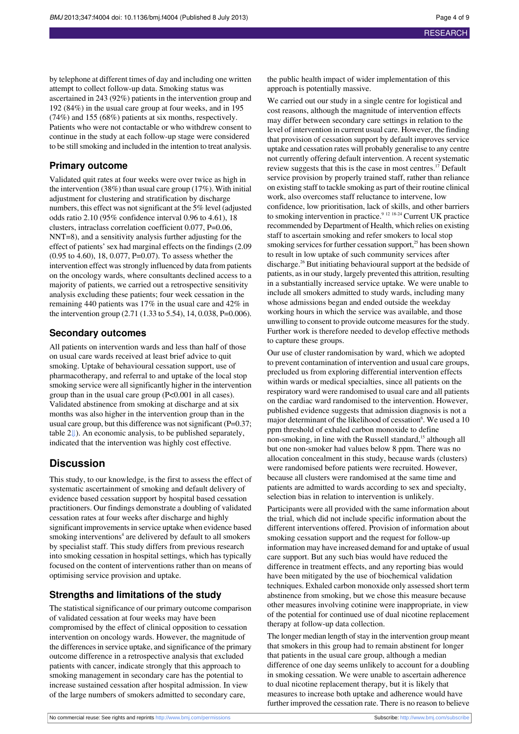by telephone at different times of day and including one written attempt to collect follow-up data. Smoking status was ascertained in 243 (92%) patients in the intervention group and 192 (84%) in the usual care group at four weeks, and in 195 (74%) and 155 (68%) patients at six months, respectively. Patients who were not contactable or who withdrew consent to continue in the study at each follow-up stage were considered to be still smoking and included in the intention to treat analysis.

#### **Primary outcome**

Validated quit rates at four weeks were over twice as high in the intervention (38%) than usual care group (17%). With initial adjustment for clustering and stratification by discharge numbers, this effect was not significant at the 5% level (adjusted odds ratio 2.10 (95% confidence interval 0.96 to 4.61), 18 clusters, intraclass correlation coefficient 0.077, P=0.06, NNT=8), and a sensitivity analysis further adjusting for the effect of patients' sex had marginal effects on the findings (2.09 (0.95 to 4.60), 18, 0.077, P=0.07). To assess whether the intervention effect was strongly influenced by data from patients on the oncology wards, where consultants declined access to a majority of patients, we carried out a retrospective sensitivity analysis excluding these patients; four week cessation in the remaining 440 patients was 17% in the usual care and 42% in the intervention group (2.71 (1.33 to 5.54), 14, 0.038, P=0.006).

#### **Secondary outcomes**

All patients on intervention wards and less than half of those on usual care wards received at least brief advice to quit smoking. Uptake of behavioural cessation support, use of pharmacotherapy, and referral to and uptake of the local stop smoking service were allsignificantly higher in the intervention group than in the usual care group (P<0.001 in all cases). Validated abstinence from smoking at discharge and at six months was also higher in the intervention group than in the usual care group, but this difference was not significant ( $P=0.37$ ; table 2[⇓\)](#page-7-0). An economic analysis, to be published separately, indicated that the intervention was highly cost effective.

#### **Discussion**

This study, to our knowledge, is the first to assess the effect of systematic ascertainment of smoking and default delivery of evidence based cessation support by hospital based cessation practitioners. Our findings demonstrate a doubling of validated cessation rates at four weeks after discharge and highly significant improvements in service uptake when evidence based smoking interventions<sup>4</sup> are delivered by default to all smokers by specialist staff. This study differs from previous research into smoking cessation in hospital settings, which has typically focused on the content of interventions rather than on means of optimising service provision and uptake.

### **Strengths and limitations of the study**

The statistical significance of our primary outcome comparison of validated cessation at four weeks may have been compromised by the effect of clinical opposition to cessation intervention on oncology wards. However, the magnitude of the differences in service uptake, and significance of the primary outcome difference in a retrospective analysis that excluded patients with cancer, indicate strongly that this approach to smoking management in secondary care has the potential to increase sustained cessation after hospital admission. In view of the large numbers of smokers admitted to secondary care,

the public health impact of wider implementation of this approach is potentially massive.

We carried out our study in a single centre for logistical and cost reasons, although the magnitude of intervention effects may differ between secondary care settings in relation to the level of intervention in current usual care. However, the finding that provision of cessation support by default improves service uptake and cessation rates will probably generalise to any centre not currently offering default intervention. A recent systematic review suggests that this is the case in most centres.<sup>17</sup> Default service provision by properly trained staff, rather than reliance on existing staff to tackle smoking as part of their routine clinical work, also overcomes staff reluctance to intervene, low confidence, low prioritisation, lack of skills, and other barriers to smoking intervention in practice.<sup>9 12 18-24</sup> Current UK practice</sup> recommended by Department of Health, which relies on existing staff to ascertain smoking and refer smokers to local stop smoking services for further cessation support,<sup>25</sup> has been shown to result in low uptake of such community services after discharge.<sup>26</sup> But initiating behavioural support at the bedside of patients, as in our study, largely prevented this attrition, resulting in a substantially increased service uptake. We were unable to include all smokers admitted to study wards, including many whose admissions began and ended outside the weekday working hours in which the service was available, and those unwilling to consent to provide outcome measures for the study. Further work is therefore needed to develop effective methods to capture these groups.

Our use of cluster randomisation by ward, which we adopted to prevent contamination of intervention and usual care groups, precluded us from exploring differential intervention effects within wards or medical specialties, since all patients on the respiratory ward were randomised to usual care and all patients on the cardiac ward randomised to the intervention. However, published evidence suggests that admission diagnosis is not a major determinant of the likelihood of cessation<sup>6</sup>. We used a 10 ppm threshold of exhaled carbon monoxide to define non-smoking, in line with the Russell standard,<sup>15</sup> although all but one non-smoker had values below 8 ppm. There was no allocation concealment in this study, because wards (clusters) were randomised before patients were recruited. However, because all clusters were randomised at the same time and patients are admitted to wards according to sex and specialty, selection bias in relation to intervention is unlikely.

Participants were all provided with the same information about the trial, which did not include specific information about the different interventions offered. Provision of information about smoking cessation support and the request for follow-up information may have increased demand for and uptake of usual care support. But any such bias would have reduced the difference in treatment effects, and any reporting bias would have been mitigated by the use of biochemical validation techniques. Exhaled carbon monoxide only assessed short term abstinence from smoking, but we chose this measure because other measures involving cotinine were inappropriate, in view of the potential for continued use of dual nicotine replacement therapy at follow-up data collection.

The longer median length of stay in the intervention group meant that smokers in this group had to remain abstinent for longer that patients in the usual care group, although a median difference of one day seems unlikely to account for a doubling in smoking cessation. We were unable to ascertain adherence to dual nicotine replacement therapy, but it is likely that measures to increase both uptake and adherence would have further improved the cessation rate. There is no reason to believe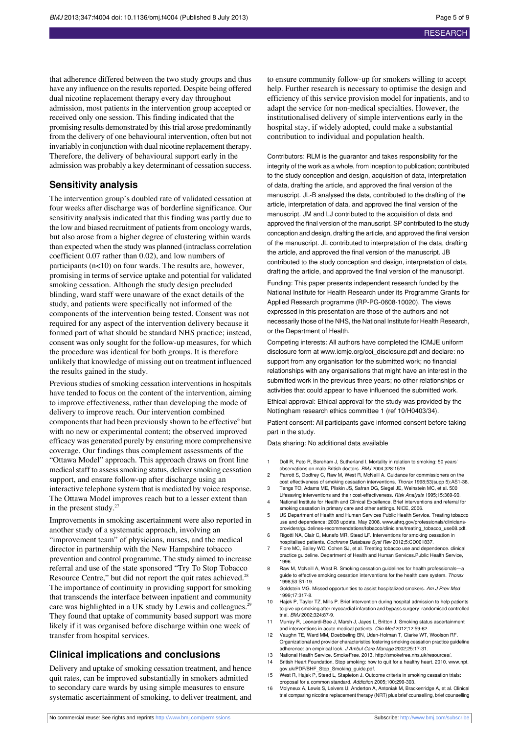that adherence differed between the two study groups and thus have any influence on the results reported. Despite being offered dual nicotine replacement therapy every day throughout admission, most patients in the intervention group accepted or received only one session. This finding indicated that the promising results demonstrated by thistrial arose predominantly from the delivery of one behavioural intervention, often but not invariably in conjunction with dual nicotine replacement therapy. Therefore, the delivery of behavioural support early in the admission was probably a key determinant of cessation success.

#### **Sensitivity analysis**

The intervention group's doubled rate of validated cessation at four weeks after discharge was of borderline significance. Our sensitivity analysis indicated that this finding was partly due to the low and biased recruitment of patients from oncology wards, but also arose from a higher degree of clustering within wards than expected when the study was planned (intraclass correlation coefficient 0.07 rather than 0.02), and low numbers of participants (n<10) on four wards. The results are, however, promising in terms of service uptake and potential for validated smoking cessation. Although the study design precluded blinding, ward staff were unaware of the exact details of the study, and patients were specifically not informed of the components of the intervention being tested. Consent was not required for any aspect of the intervention delivery because it formed part of what should be standard NHS practice; instead, consent was only sought for the follow-up measures, for which the procedure was identical for both groups. It is therefore unlikely that knowledge of missing out on treatment influenced the results gained in the study.

Previous studies of smoking cessation interventions in hospitals have tended to focus on the content of the intervention, aiming to improve effectiveness, rather than developing the mode of delivery to improve reach. Our intervention combined components that had been previously shown to be effective<sup>6</sup> but with no new or experimental content; the observed improved efficacy was generated purely by ensuring more comprehensive coverage. Our findings thus complement assessments of the "Ottawa Model" approach. This approach draws on front line medical staff to assess smoking status, deliver smoking cessation support, and ensure follow-up after discharge using an interactive telephone system that is mediated by voice response. The Ottawa Model improves reach but to a lesser extent than in the present study. $27$ 

Improvements in smoking ascertainment were also reported in another study of a systematic approach, involving an "improvement team" of physicians, nurses, and the medical director in partnership with the New Hampshire tobacco prevention and control programme. The study aimed to increase referral and use of the state sponsored "Try To Stop Tobacco Resource Centre," but did not report the quit rates achieved.<sup>28</sup> The importance of continuity in providing support for smoking that transcends the interface between inpatient and community care was highlighted in a UK study by Lewis and colleagues.<sup>2</sup> They found that uptake of community based support was more likely if it was organised before discharge within one week of transfer from hospital services.

#### **Clinical implications and conclusions**

Delivery and uptake of smoking cessation treatment, and hence quit rates, can be improved substantially in smokers admitted to secondary care wards by using simple measures to ensure systematic ascertainment of smoking, to deliver treatment, and to ensure community follow-up for smokers willing to accept help. Further research is necessary to optimise the design and efficiency of this service provision model for inpatients, and to adapt the service for non-medical specialties. However, the institutionalised delivery of simple interventions early in the hospital stay, if widely adopted, could make a substantial contribution to individual and population health.

Contributors: RLM is the guarantor and takes responsibility for the integrity of the work as a whole, from inception to publication; contributed to the study conception and design, acquisition of data, interpretation of data, drafting the article, and approved the final version of the manuscript. JL-B analysed the data, contributed to the drafting of the article, interpretation of data, and approved the final version of the manuscript. JM and LJ contributed to the acquisition of data and approved the final version of the manuscript. SP contributed to the study conception and design, drafting the article, and approved the final version of the manuscript. JL contributed to interpretation of the data, drafting the article, and approved the final version of the manuscript. JB contributed to the study conception and design, interpretation of data, drafting the article, and approved the final version of the manuscript.

Funding: This paper presents independent research funded by the National Institute for Health Research under its Programme Grants for Applied Research programme (RP-PG-0608-10020). The views expressed in this presentation are those of the authors and not necessarily those of the NHS, the National Institute for Health Research, or the Department of Health.

Competing interests: All authors have completed the ICMJE uniform disclosure form at [www.icmje.org/coi\\_disclosure.pdf](http://www.icmje.org/coi_disclosure.pdf) and declare: no support from any organisation for the submitted work; no financial relationships with any organisations that might have an interest in the submitted work in the previous three years; no other relationships or activities that could appear to have influenced the submitted work. Ethical approval: Ethical approval for the study was provided by the

Nottingham research ethics committee 1 (ref 10/H0403/34).

Patient consent: All participants gave informed consent before taking part in the study.

Data sharing: No additional data available

- 1 Doll R, Peto R, Boreham J, Sutherland I. Mortality in relation to smoking: 50 years' observations on male British doctors. BMJ 2004;328:1519.
- 2 Parrott S, Godfrey C, Raw M, West R, McNeill A. Guidance for commissioners on the cost effectiveness of smoking cessation interventions. Thorax 1998;53(supp 5):AS1-38. 3 Tengs TO, Adams ME, Pliskin JS, Safran DG, Siegel JE, Weinstein MC, et al. 500
- Lifesaving interventions and their cost-effectiveness. Risk Analysis 1995;15:369-90. 4 National Institute for Health and Clinical Excellence. Brief interventions and referral for
- smoking cessation in primary care and other settings. NICE, 2006. 5 US Department of Health and Human Services Public Health Service. Treating tobacco
- use and dependence: 2008 update. May 2008. [www.ahrq.gov/professionals/clinicians](http://www.ahrq.gov/professionals/clinicians-providers/guidelines-recommendations/tobacco/clinicians/treating_tobacco_use08.pdf)[providers/guidelines-recommendations/tobacco/clinicians/treating\\_tobacco\\_use08.pdf](http://www.ahrq.gov/professionals/clinicians-providers/guidelines-recommendations/tobacco/clinicians/treating_tobacco_use08.pdf). Rigotti NA, Clair C, Munafo MR, Stead LF. Interventions for smoking cessation in
- hospitalised patients. Cochrane Database Syst Rev 2012;5:CD001837.
- 7 Fiore MC, Bailey WC, Cohen SJ, et al. Treating tobacco use and dependence. clinical practice guideline. Department of Health and Human Services.Public Health Service, 1996.
- 8 Raw M, McNeill A, West R. Smoking cessation guidelines for health professionals-a guide to effective smoking cessation interventions for the health care system. Thorax 1998;53:S1-19.
- 9 Goldstein MG. Missed opportunities to assist hospitalized smokers. Am J Prev Med 1999;17:317-8.
- 10 Hajek P, Taylor TZ, Mills P. Brief intervention during hospital admission to help patients to give up smoking after myocardial infarction and bypass surgery: randomised controlled trial. BMJ 2002;324:87-9.
- 11 Murray R, Leonardi-Bee J, Marsh J, Jayes L, Britton J. Smoking status ascertainment and interventions in acute medical patients. Clin Med 2012;12:59-62.
- 12 Vaughn TE, Ward MM, Doebbeling BN, Uden-Holman T, Clarke WT, Woolson RF. Organizational and provider characteristics fostering smoking cessation practice guideline adherence: an empirical look. J Ambul Care Manage 2002;25:17-31.
- 13 National Health Service. SmokeFree. 2013. http://smokefree.nhs.uk/resources/ 14 British Heart Foundation. Stop smoking: how to quit for a healthy heart. 2010. [www.npt.](http://www.npt.gov.uk/PDF/BHF_Stop_Smoking_guide.pdf)
- [gov.uk/PDF/BHF\\_Stop\\_Smoking\\_guide.pdf.](http://www.npt.gov.uk/PDF/BHF_Stop_Smoking_guide.pdf) 15 West R, Hajek P, Stead L, Stapleton J. Outcome criteria in smoking cessation trials:
- proposal for a common standard. Addiction 2005;100:299-303.
- 16 Molyneux A, Lewis S, Leivers U, Anderton A, Antoniak M, Brackenridge A, et al. Clinical trial comparing nicotine replacement therapy (NRT) plus brief counselling, brief counselling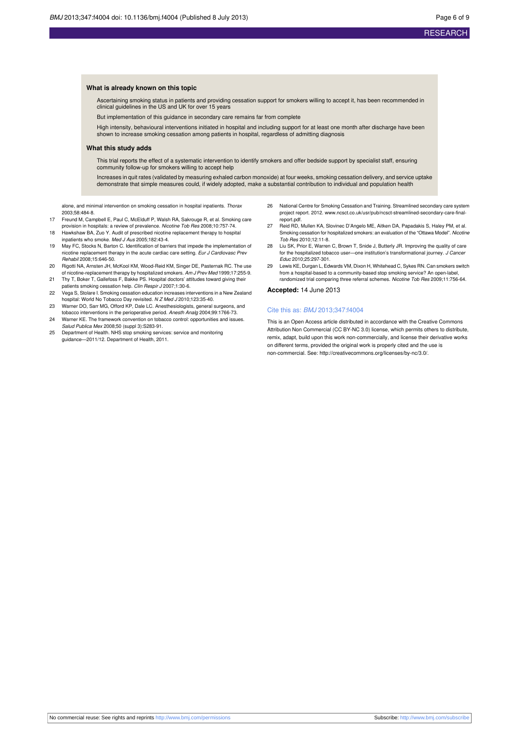#### **What is already known on this topic**

Ascertaining smoking status in patients and providing cessation support for smokers willing to accept it, has been recommended in clinical guidelines in the US and UK for over 15 years

But implementation of this guidance in secondary care remains far from complete

High intensity, behavioural interventions initiated in hospital and including support for at least one month after discharge have been shown to increase smoking cessation among patients in hospital, regardless of admitting diagnosis

#### **What this study adds**

This trial reports the effect of a systematic intervention to identify smokers and offer bedside support by specialist staff, ensuring community follow-up for smokers willing to accept help

Increases in quit rates (validated by measuring exhaled carbon monoxide) at four weeks, smoking cessation delivery, and service uptake demonstrate that simple measures could, if widely adopted, make a substantial contribution to individual and population health

alone, and minimal intervention on smoking cessation in hospital inpatients. Thorax 2003;58:484-8.

- 17 Freund M, Campbell E, Paul C, McElduff P, Walsh RA, Sakrouge R, et al. Smoking care
- provision in hospitals: a review of prevalence. *Nicotine Tob Res* 2008;10:757-74.<br>18 Hawkshaw BA, Zuo Y. Audit of prescribed nicotine replacement therapy to hospital npatients who smoke. Med J Aus 2005;182:43-4.
- 19 May FC, Stocks N, Barton C. Identification of barriers that impede the implementation of nicotine replacement therapy in the acute cardiac care setting. Eur J Cardiovasc Prev Rehabil 2008;15:646-50.
- 20 Rigotti NA, Arnsten JH, McKool KM, Wood-Reid KM, Singer DE, Pasternak RC. The use
- of nicotine-replacement therapy by hospitalized smokers. Am J Prev Med 1999;17:255-9.<br>21 Thy T, Boker T, Gallefoss F, Bakke PS. Hospital doctors' attitudes toward giving their patients smoking cessation help. Clin Respir J 2007;1:30-6.
- 22 Vega S, Stolare I. Smoking cessation education increases interventions in a New Zealand hospital: World No Tobacco Day revisited. N Z Med J 2010;123:35-40.
- 23 Warner DO, Sarr MG, Offord KP, Dale LC. Anesthesiologists, general surgeons, and tobacco interventions in the perioperative period. Anesth Analg 2004;99:1766-73.
- 24 Warner KE. The framework convention on tobacco control: opportunities and issues. Salud Publica Mex 2008;50 (suppl 3):S283-91.
- 25 Department of Health. NHS stop smoking services: service and monitoring guidance—2011/12. Department of Health, 2011.
- 26 National Centre for Smoking Cessation and Training. Streamlined secondary care system project report. 2012. [www.ncsct.co.uk/usr/pub/ncsct-streamlined-secondary-care-final](http://www.ncsct.co.uk/usr/pub/ncsct-streamlined-secondary-care-final-report.pdf)[report.pdf.](http://www.ncsct.co.uk/usr/pub/ncsct-streamlined-secondary-care-final-report.pdf)
- 27 Reid RD, Mullen KA, Slovinec D'Angelo ME, Aitken DA, Papadakis S, Haley PM, et al. Smoking cessation for hospitalized smokers: an evaluation of the "Ottawa Model". Nicotine Tob Res 2010;12:11-8.
- 28 Liu SK, Prior E, Warren C, Brown T, Snide J, Butterly JR. Improving the quality of care for the hospitalized tobacco user—one institution's transformational journey. J Cancer Educ 2010;25:297-301.
- 29 Lewis KE, Durgan L, Edwards VM, Dixon H, Whitehead C, Sykes RN. Can smokers switch from a hospital-based to a community-based stop smoking service? An open-label,<br>randomized trial comparing three referral schemes. *Nicotine Tob Res* 2009;11:756-64.

#### **Accepted:** 14 June 2013

#### Cite this as: BMJ 2013;347:f4004

This is an Open Access article distributed in accordance with the Creative Commons Attribution Non Commercial (CC BY-NC 3.0) license, which permits others to distribute, remix, adapt, build upon this work non-commercially, and license their derivative works on different terms, provided the original work is properly cited and the use is non-commercial. See: <http://creativecommons.org/licenses/by-nc/3.0/>.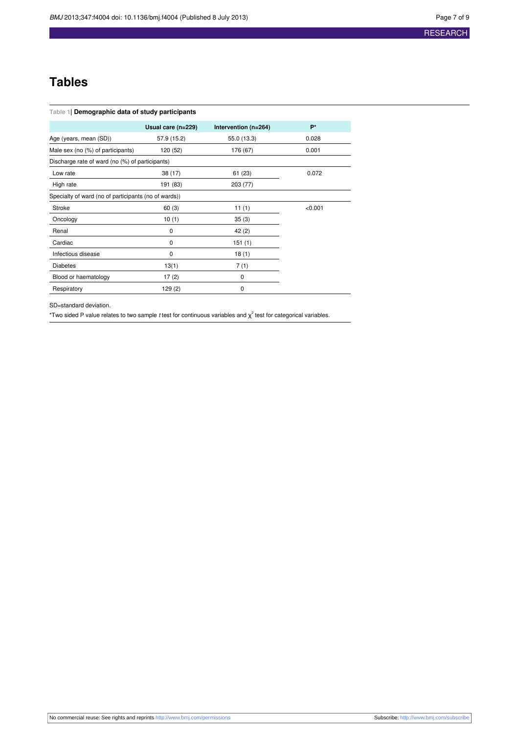## **RESEARCH**

## **Tables**

<span id="page-6-0"></span>

| Table 1  Demographic data of study participants      |                    |                      |         |  |  |  |
|------------------------------------------------------|--------------------|----------------------|---------|--|--|--|
|                                                      | Usual care (n=229) | Intervention (n=264) | P*      |  |  |  |
| Age (years, mean (SD))                               | 57.9 (15.2)        | 55.0 (13.3)          | 0.028   |  |  |  |
| Male sex (no (%) of participants)                    | 120 (52)           | 176 (67)             | 0.001   |  |  |  |
| Discharge rate of ward (no (%) of participants)      |                    |                      |         |  |  |  |
| Low rate                                             | 38(17)             | 61(23)               | 0.072   |  |  |  |
| High rate                                            | 191 (83)           | 203 (77)             |         |  |  |  |
| Specialty of ward (no of participants (no of wards)) |                    |                      |         |  |  |  |
| Stroke                                               | 60(3)              | 11(1)                | < 0.001 |  |  |  |
| Oncology                                             | 10(1)              | 35(3)                |         |  |  |  |
| Renal                                                | 0                  | 42 (2)               |         |  |  |  |
| Cardiac                                              | 0                  | 151(1)               |         |  |  |  |
| Infectious disease                                   | 0                  | 18(1)                |         |  |  |  |
| <b>Diabetes</b>                                      | 13(1)              | 7(1)                 |         |  |  |  |
| Blood or haematology                                 | 17(2)              | 0                    |         |  |  |  |
| Respiratory                                          | 129 (2)            | 0                    |         |  |  |  |

SD=standard deviation.

\*Two sided P value relates to two sample t test for continuous variables and  $\chi^2$  test for categorical variables.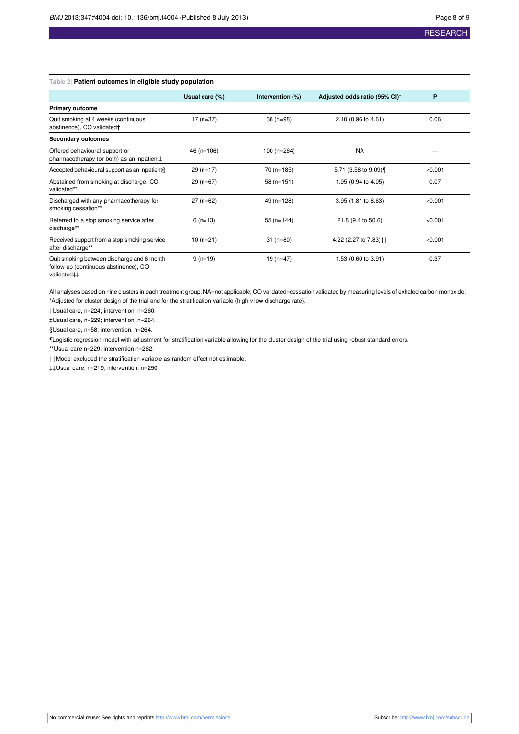## **RESEARCH**

| Table 21 Patient outcomes in eligible study population                                             |                |                  |                                   |         |  |
|----------------------------------------------------------------------------------------------------|----------------|------------------|-----------------------------------|---------|--|
|                                                                                                    | Usual care (%) | Intervention (%) | Adjusted odds ratio (95% CI)*     | P       |  |
| <b>Primary outcome</b>                                                                             |                |                  |                                   |         |  |
| Quit smoking at 4 weeks (continuous<br>abstinence), CO validated†                                  | $17(n=37)$     | $38(n=98)$       | 2.10 (0.96 to 4.61)               | 0.06    |  |
| <b>Secondary outcomes</b>                                                                          |                |                  |                                   |         |  |
| Offered behavioural support or<br>pharmacotherapy (or both) as an inpatient‡                       | $46$ (n=106)   | $100(n=264)$     | <b>NA</b>                         |         |  |
| Accepted behavioural support as an inpatient§                                                      | $29(n=17)$     | 70 (n=185)       | 5.71 (3.58 to 9.09)               | < 0.001 |  |
| Abstained from smoking at discharge, CO<br>validated**                                             | $29(n=67)$     | $58(n=151)$      | 1.95 (0.94 to 4.05)               | 0.07    |  |
| Discharged with any pharmacotherapy for<br>smoking cessation**                                     | $27(n=62)$     | 49 (n=128)       | 3.95 (1.81 to 8.63)               | < 0.001 |  |
| Referred to a stop smoking service after<br>discharge**                                            | $6(n=13)$      | $55(n=144)$      | 21.8 (9.4 to 50.6)                | < 0.001 |  |
| Received support from a stop smoking service<br>after discharge**                                  | $10(n=21)$     | $31(n=80)$       | 4.22 (2.27 to 7.83) <sup>++</sup> | < 0.001 |  |
| Quit smoking between discharge and 6 month<br>follow-up (continuous abstinence), CO<br>validated‡‡ | $9(n=19)$      | $19(n=47)$       | 1.53 (0.60 to 3.91)               | 0.37    |  |

## <span id="page-7-0"></span>**Table 2| Patient outcomes in eligible study population**

All analyses based on nine clusters in each treatment group. NA=not applicable; CO validated=cessation validated by measuring levels of exhaled carbon monoxide. \*Adjusted for cluster design of the trial and for the stratification variable (high v low discharge rate).

†Usual care, n=224; intervention, n=260.

‡Usual care, n=229; intervention, n=264.

§Usual care, n=58; intervention, n=264.

¶Logistic regression model with adjustment for stratification variable allowing for the cluster design of the trial using robust standard errors.

\*\*Usual care n=229; intervention n=262.

††Model excluded the stratification variable as random effect not estimable.

‡‡Usual care, n=219; intervention, n=250.